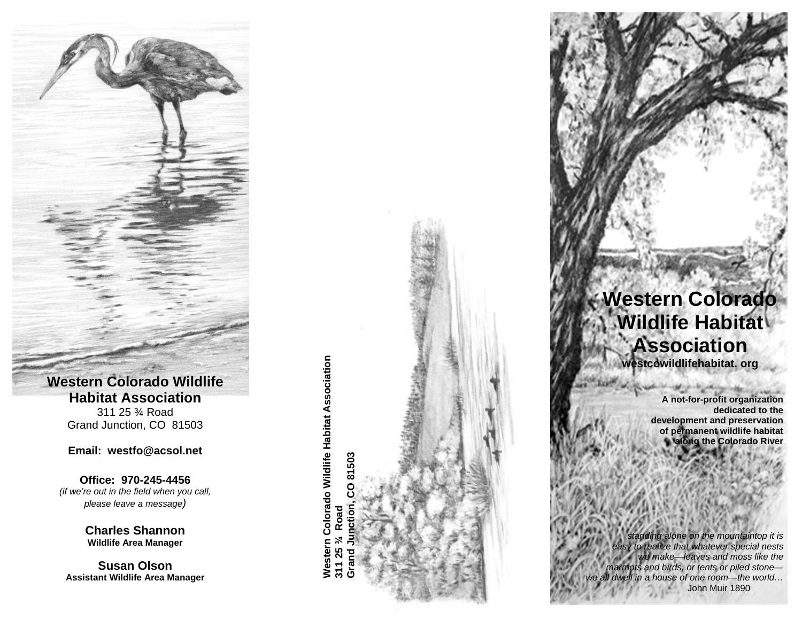**Western Colorado Wildlife Habitat Association** 311 25 ¾ Road Grand Junction, CO 81503

#### **Email: westfo@acsol.net**

**Office: 970-245-4456**  *(if we're out in the field when you call, please leave a message)*

> **Charles Shannon Wildlife Area Manager**

**Susan Olson Assistant Wildlife Area Manager**  **orado Wildlife Habitat Association Grand Junction, CO 81503**  CO 81503 **o a d l o R**  $\mathbf{\mathsf{C}}$ **¾ We s t e r n 2 5 31 1**

## **Western Colorado Wildlife Habitat Association westcowildlifehabitat. org**

**A not-for-profit organization dedicated to the development and preservation of permanent wildlife habitat along the Colorado River** 

 *standing alone on the mountaintop it is easy to realize that whatever special nests we make—leaves and moss like the marmots and birds, or tents or piled stone we all dwell in a house of one room—the world…*  John Muir 1890